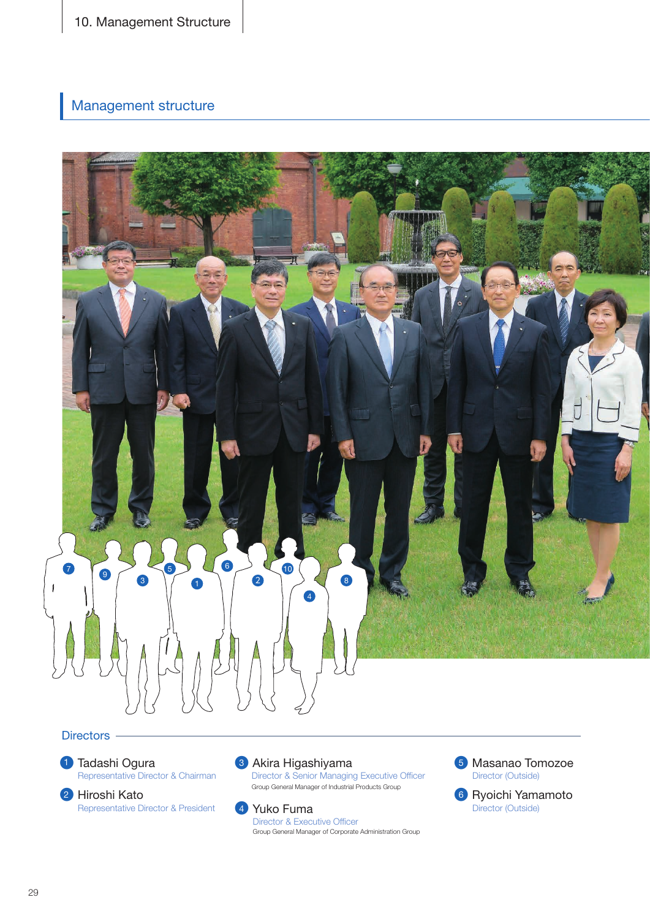10. Management Structure

## Management structure



## Directors -





3 Akira Higashiyama

Director & Senior Managing Executive Officer Group General Manager of Industrial Products Group



Director & Executive Officer Group General Manager of Corporate Administration Group



6 Ryoichi Yamamoto Director (Outside)